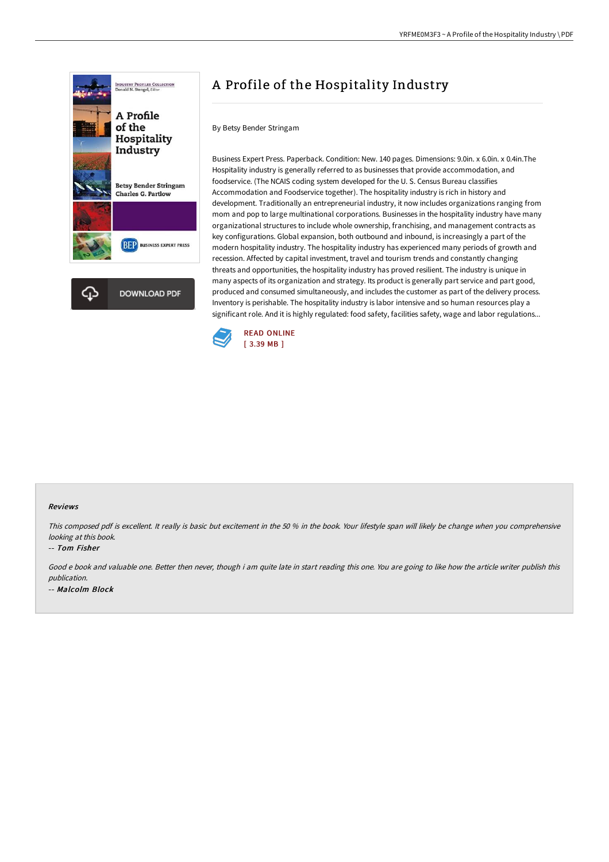

# A Profile of the Hospitality Industry

By Betsy Bender Stringam

Business Expert Press. Paperback. Condition: New. 140 pages. Dimensions: 9.0in. x 6.0in. x 0.4in.The Hospitality industry is generally referred to as businesses that provide accommodation, and foodservice. (The NCAIS coding system developed for the U. S. Census Bureau classifies Accommodation and Foodservice together). The hospitality industry is rich in history and development. Traditionally an entrepreneurial industry, it now includes organizations ranging from mom and pop to large multinational corporations. Businesses in the hospitality industry have many organizational structures to include whole ownership, franchising, and management contracts as key configurations. Global expansion, both outbound and inbound, is increasingly a part of the modern hospitality industry. The hospitality industry has experienced many periods of growth and recession. Affected by capital investment, travel and tourism trends and constantly changing threats and opportunities, the hospitality industry has proved resilient. The industry is unique in many aspects of its organization and strategy. Its product is generally part service and part good, produced and consumed simultaneously, and includes the customer as part of the delivery process. Inventory is perishable. The hospitality industry is labor intensive and so human resources play a significant role. And it is highly regulated: food safety, facilities safety, wage and labor regulations...



#### Reviews

This composed pdf is excellent. It really is basic but excitement in the <sup>50</sup> % in the book. Your lifestyle span will likely be change when you comprehensive looking at this book.

#### -- Tom Fisher

Good <sup>e</sup> book and valuable one. Better then never, though i am quite late in start reading this one. You are going to like how the article writer publish this publication. -- Malcolm Block